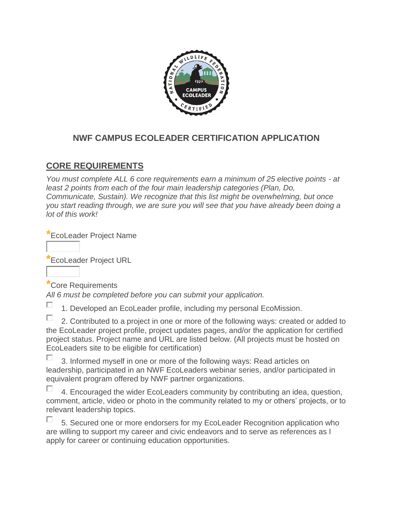

# **NWF CAMPUS ECOLEADER CERTIFICATION APPLICATION**

## **CORE REQUIREMENTS**

*You must complete ALL 6 core requirements earn a minimum of 25 elective points - at least 2 points from each of the four main leadership categories (Plan, Do, Communicate, Sustain). We recognize that this list might be overwhelming, but once you start reading through, we are sure you will see that you have already been doing a lot of this work!*

**\***EcoLeader Project Name

**\***EcoLeader Project URL

**\***Core Requirements

*All 6 must be completed before you can submit your application.*

П 1. Developed an EcoLeader profile, including my personal EcoMission.

П 2. Contributed to a project in one or more of the following ways: created or added to the EcoLeader project profile, project updates pages, and/or the application for certified project status. Project name and URL are listed below. (All projects must be hosted on EcoLeaders site to be eligible for certification)

п 3. Informed myself in one or more of the following ways: Read articles on leadership, participated in an NWF EcoLeaders webinar series, and/or participated in equivalent program offered by NWF partner organizations.

П 4. Encouraged the wider EcoLeaders community by contributing an idea, question, comment, article, video or photo in the community related to my or others' projects, or to relevant leadership topics.

П 5. Secured one or more endorsers for my EcoLeader Recognition application who are willing to support my career and civic endeavors and to serve as references as I apply for career or continuing education opportunities.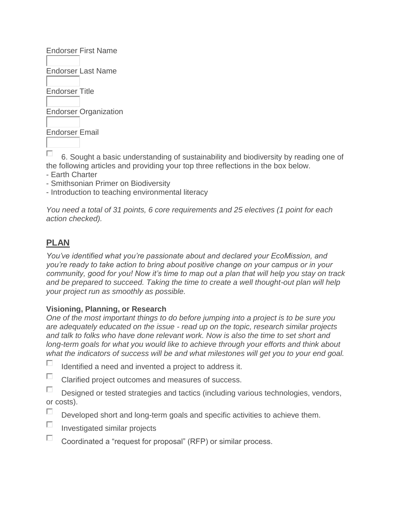Endorser First Name

Endorser Last Name

Endorser Title

Endorser Organization

Endorser Email

□ 6. Sought a basic understanding of sustainability and biodiversity by reading one of the following articles and providing your top three reflections in the box below.

- Earth Charter
- Smithsonian Primer on Biodiversity
- Introduction to teaching environmental literacy

*You need a total of 31 points, 6 core requirements and 25 electives (1 point for each action checked).*

# **PLAN**

*You've identified what you're passionate about and declared your EcoMission, and you're ready to take action to bring about positive change on your campus or in your community, good for you! Now it's time to map out a plan that will help you stay on track and be prepared to succeed. Taking the time to create a well thought-out plan will help your project run as smoothly as possible.*

#### **Visioning, Planning, or Research**

*One of the most important things to do before jumping into a project is to be sure you are adequately educated on the issue - read up on the topic, research similar projects and talk to folks who have done relevant work. Now is also the time to set short and long-term goals for what you would like to achieve through your efforts and think about what the indicators of success will be and what milestones will get you to your end goal.*

- П Identified a need and invented a project to address it.
- $\Box$ Clarified project outcomes and measures of success.

П Designed or tested strategies and tactics (including various technologies, vendors, or costs).

- п. Developed short and long-term goals and specific activities to achieve them.
- П. Investigated similar projects
- $\Box$ Coordinated a "request for proposal" (RFP) or similar process.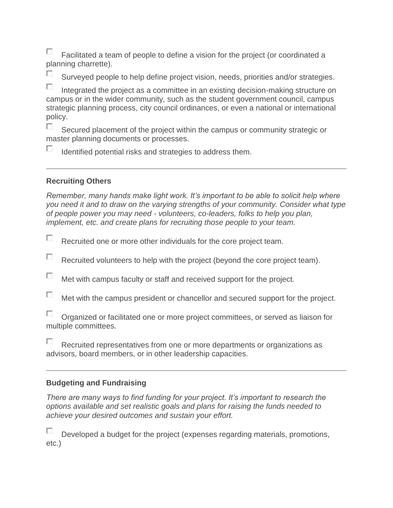П. Facilitated a team of people to define a vision for the project (or coordinated a planning charrette).

П Surveyed people to help define project vision, needs, priorities and/or strategies.

п Integrated the project as a committee in an existing decision-making structure on campus or in the wider community, such as the student government council, campus strategic planning process, city council ordinances, or even a national or international policy.

П. Secured placement of the project within the campus or community strategic or master planning documents or processes.

П Identified potential risks and strategies to address them.

#### **Recruiting Others**

*Remember, many hands make light work. It's important to be able to solicit help where you need it and to draw on the varying strengths of your community. Consider what type of people power you may need - volunteers, co-leaders, folks to help you plan, implement, etc. and create plans for recruiting those people to your team.*

П Recruited one or more other individuals for the core project team.

П Recruited volunteers to help with the project (beyond the core project team).

П. Met with campus faculty or staff and received support for the project.

П Met with the campus president or chancellor and secured support for the project.

П Organized or facilitated one or more project committees, or served as liaison for multiple committees.

П Recruited representatives from one or more departments or organizations as advisors, board members, or in other leadership capacities.

#### **Budgeting and Fundraising**

*There are many ways to find funding for your project. It's important to research the options available and set realistic goals and plans for raising the funds needed to achieve your desired outcomes and sustain your effort.*

ш Developed a budget for the project (expenses regarding materials, promotions, etc.)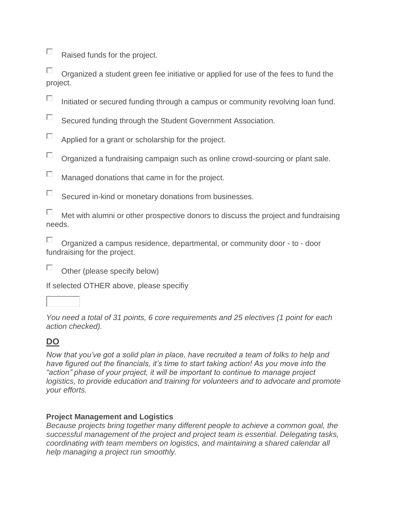П Raised funds for the project.

П Organized a student green fee initiative or applied for use of the fees to fund the project.

П Initiated or secured funding through a campus or community revolving loan fund.

П Secured funding through the Student Government Association.

П Applied for a grant or scholarship for the project.

 $\Box$ Organized a fundraising campaign such as online crowd-sourcing or plant sale.

 $\Box$ Managed donations that came in for the project.

 $\Box$ Secured in-kind or monetary donations from businesses.

П Met with alumni or other prospective donors to discuss the project and fundraising needs.

П Organized a campus residence, departmental, or community door - to - door fundraising for the project.

П Other (please specify below)

If selected OTHER above, please specifiy

*You need a total of 31 points, 6 core requirements and 25 electives (1 point for each action checked).*

# **DO**

*Now that you've got a solid plan in place, have recruited a team of folks to help and have figured out the financials, it's time to start taking action! As you move into the "action" phase of your project, it will be important to continue to manage project logistics, to provide education and training for volunteers and to advocate and promote your efforts.*

#### **Project Management and Logistics**

*Because projects bring together many different people to achieve a common goal, the successful management of the project and project team is essential. Delegating tasks, coordinating with team members on logistics, and maintaining a shared calendar all help managing a project run smoothly.*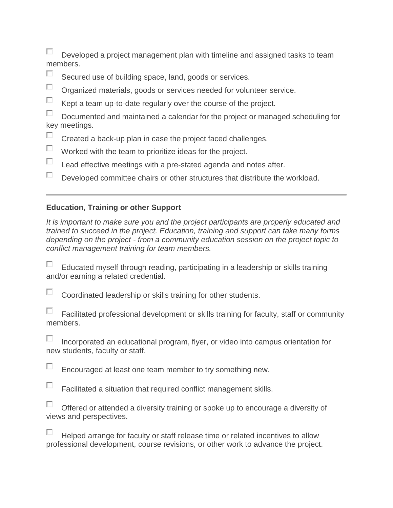П Developed a project management plan with timeline and assigned tasks to team members.

- П. Secured use of building space, land, goods or services.
- $\Box$ Organized materials, goods or services needed for volunteer service.
- П Kept a team up-to-date regularly over the course of the project.

П. Documented and maintained a calendar for the project or managed scheduling for key meetings.

- П. Created a back-up plan in case the project faced challenges.
- П Worked with the team to prioritize ideas for the project.
- П. Lead effective meetings with a pre-stated agenda and notes after.
- П. Developed committee chairs or other structures that distribute the workload.

#### **Education, Training or other Support**

*It is important to make sure you and the project participants are properly educated and trained to succeed in the project. Education, training and support can take many forms depending on the project - from a community education session on the project topic to conflict management training for team members.*

г Educated myself through reading, participating in a leadership or skills training and/or earning a related credential.

П. Coordinated leadership or skills training for other students.

| Facilitated professional development or skills training for faculty, staff or community |
|-----------------------------------------------------------------------------------------|
| members.                                                                                |

П Incorporated an educational program, flyer, or video into campus orientation for new students, faculty or staff.

П Encouraged at least one team member to try something new.

П Facilitated a situation that required conflict management skills.

|  | Offered or attended a diversity training or spoke up to encourage a diversity of |  |  |  |
|--|----------------------------------------------------------------------------------|--|--|--|
|  | views and perspectives.                                                          |  |  |  |

п Helped arrange for faculty or staff release time or related incentives to allow professional development, course revisions, or other work to advance the project.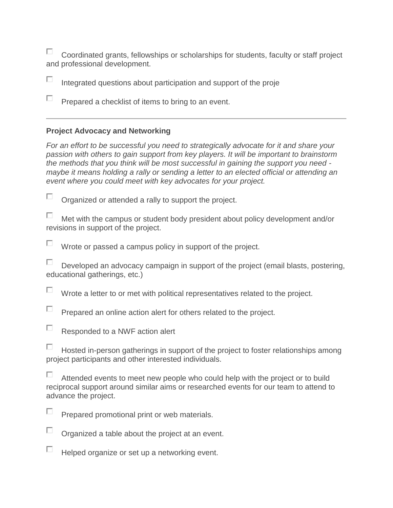П Coordinated grants, fellowships or scholarships for students, faculty or staff project and professional development.

П Integrated questions about participation and support of the proje

П Prepared a checklist of items to bring to an event.

#### **Project Advocacy and Networking**

*For an effort to be successful you need to strategically advocate for it and share your passion with others to gain support from key players. It will be important to brainstorm the methods that you think will be most successful in gaining the support you need maybe it means holding a rally or sending a letter to an elected official or attending an event where you could meet with key advocates for your project.*

П. Organized or attended a rally to support the project.

П Met with the campus or student body president about policy development and/or revisions in support of the project.

П Wrote or passed a campus policy in support of the project.

П. Developed an advocacy campaign in support of the project (email blasts, postering, educational gatherings, etc.)

 $\Box$ Wrote a letter to or met with political representatives related to the project.

П. Prepared an online action alert for others related to the project.

П Responded to a NWF action alert

П Hosted in-person gatherings in support of the project to foster relationships among project participants and other interested individuals.

П Attended events to meet new people who could help with the project or to build reciprocal support around similar aims or researched events for our team to attend to advance the project.

П. Prepared promotional print or web materials.

П Organized a table about the project at an event.

П Helped organize or set up a networking event.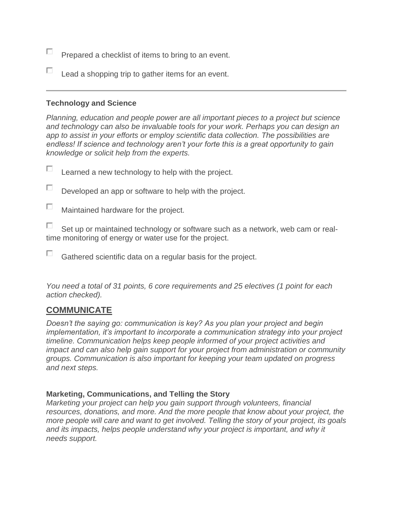- $\Box$  Prepared a checklist of items to bring to an event.
- П Lead a shopping trip to gather items for an event.

#### **Technology and Science**

*Planning, education and people power are all important pieces to a project but science and technology can also be invaluable tools for your work. Perhaps you can design an app to assist in your efforts or employ scientific data collection. The possibilities are endless! If science and technology aren't your forte this is a great opportunity to gain knowledge or solicit help from the experts.*

- П Learned a new technology to help with the project.
- П. Developed an app or software to help with the project.

П Maintained hardware for the project.

П Set up or maintained technology or software such as a network, web cam or realtime monitoring of energy or water use for the project.

П Gathered scientific data on a regular basis for the project.

*You need a total of 31 points, 6 core requirements and 25 electives (1 point for each action checked).*

## **COMMUNICATE**

*Doesn't the saying go: communication is key? As you plan your project and begin implementation, it's important to incorporate a communication strategy into your project timeline. Communication helps keep people informed of your project activities and impact and can also help gain support for your project from administration or community groups. Communication is also important for keeping your team updated on progress and next steps.*

#### **Marketing, Communications, and Telling the Story**

*Marketing your project can help you gain support through volunteers, financial resources, donations, and more. And the more people that know about your project, the more people will care and want to get involved. Telling the story of your project, its goals*  and its impacts, helps people understand why your project is important, and why it *needs support.*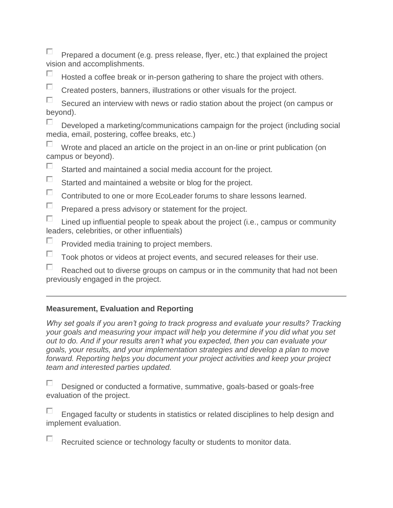П. Prepared a document (e.g. press release, flyer, etc.) that explained the project vision and accomplishments.

 $\Box$ Hosted a coffee break or in-person gathering to share the project with others.

П. Created posters, banners, illustrations or other visuals for the project.

П Secured an interview with news or radio station about the project (on campus or beyond).

П. Developed a marketing/communications campaign for the project (including social media, email, postering, coffee breaks, etc.)

П Wrote and placed an article on the project in an on-line or print publication (on campus or beyond).

П. Started and maintained a social media account for the project.

 $\Box$ Started and maintained a website or blog for the project.

 $\Box$ Contributed to one or more EcoLeader forums to share lessons learned.

 $\Box$ Prepared a press advisory or statement for the project.

 $\Box$ Lined up influential people to speak about the project (i.e., campus or community leaders, celebrities, or other influentials)

П. Provided media training to project members.

 $\Box$ Took photos or videos at project events, and secured releases for their use.

П Reached out to diverse groups on campus or in the community that had not been previously engaged in the project.

#### **Measurement, Evaluation and Reporting**

*Why set goals if you aren't going to track progress and evaluate your results? Tracking your goals and measuring your impact will help you determine if you did what you set out to do. And if your results aren't what you expected, then you can evaluate your goals, your results, and your implementation strategies and develop a plan to move forward. Reporting helps you document your project activities and keep your project team and interested parties updated.*

П. Designed or conducted a formative, summative, goals-based or goals-free evaluation of the project.

П. Engaged faculty or students in statistics or related disciplines to help design and implement evaluation.

П Recruited science or technology faculty or students to monitor data.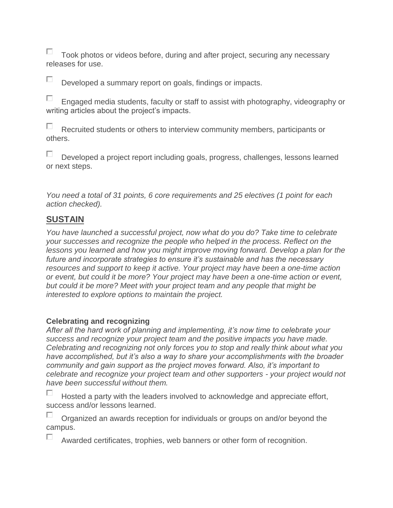П Took photos or videos before, during and after project, securing any necessary releases for use.

П Developed a summary report on goals, findings or impacts.

П Engaged media students, faculty or staff to assist with photography, videography or writing articles about the project's impacts.

П Recruited students or others to interview community members, participants or others.

п Developed a project report including goals, progress, challenges, lessons learned or next steps.

*You need a total of 31 points, 6 core requirements and 25 electives (1 point for each action checked).*

### **SUSTAIN**

*You have launched a successful project, now what do you do? Take time to celebrate your successes and recognize the people who helped in the process. Reflect on the*  lessons you learned and how you might improve moving forward. Develop a plan for the *future and incorporate strategies to ensure it's sustainable and has the necessary resources and support to keep it active. Your project may have been a one-time action or event, but could it be more? Your project may have been a one-time action or event, but could it be more? Meet with your project team and any people that might be interested to explore options to maintain the project.*

#### **Celebrating and recognizing**

*After all the hard work of planning and implementing, it's now time to celebrate your success and recognize your project team and the positive impacts you have made. Celebrating and recognizing not only forces you to stop and really think about what you have accomplished, but it's also a way to share your accomplishments with the broader community and gain support as the project moves forward. Also, it's important to celebrate and recognize your project team and other supporters - your project would not have been successful without them.*

П Hosted a party with the leaders involved to acknowledge and appreciate effort, success and/or lessons learned.

п Organized an awards reception for individuals or groups on and/or beyond the campus.

П. Awarded certificates, trophies, web banners or other form of recognition.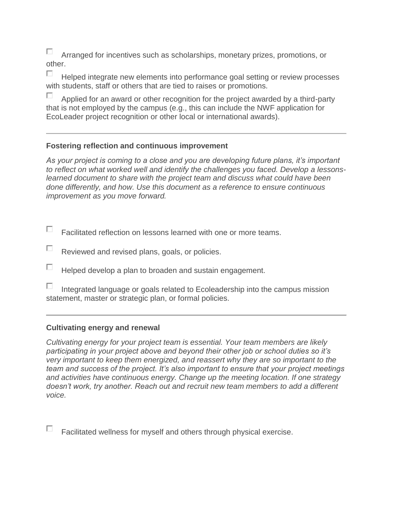П. Arranged for incentives such as scholarships, monetary prizes, promotions, or other.

П Helped integrate new elements into performance goal setting or review processes with students, staff or others that are tied to raises or promotions.

п Applied for an award or other recognition for the project awarded by a third-party that is not employed by the campus (e.g., this can include the NWF application for EcoLeader project recognition or other local or international awards).

#### **Fostering reflection and continuous improvement**

*As your project is coming to a close and you are developing future plans, it's important to reflect on what worked well and identify the challenges you faced. Develop a lessonslearned document to share with the project team and discuss what could have been done differently, and how. Use this document as a reference to ensure continuous improvement as you move forward.*

- П Facilitated reflection on lessons learned with one or more teams.
- П. Reviewed and revised plans, goals, or policies.
- П Helped develop a plan to broaden and sustain engagement.

| Integrated language or goals related to Ecoleadership into the campus mission |
|-------------------------------------------------------------------------------|
| statement, master or strategic plan, or formal policies.                      |

#### **Cultivating energy and renewal**

*Cultivating energy for your project team is essential. Your team members are likely participating in your project above and beyond their other job or school duties so it's very important to keep them energized, and reassert why they are so important to the team and success of the project. It's also important to ensure that your project meetings and activities have continuous energy. Change up the meeting location. If one strategy doesn't work, try another. Reach out and recruit new team members to add a different voice.*

П Facilitated wellness for myself and others through physical exercise.